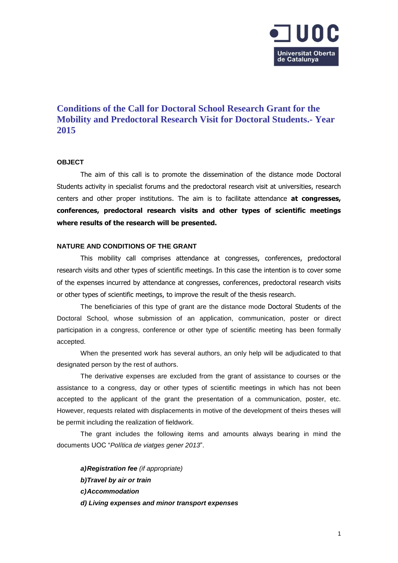

# **Conditions of the Call for Doctoral School Research Grant for the Mobility and Predoctoral Research Visit for Doctoral Students.- Year 2015**

## **OBJECT**

The aim of this call is to promote the dissemination of the distance mode Doctoral Students activity in specialist forums and the predoctoral research visit at universities, research centers and other proper institutions. The aim is to facilitate attendance **at congresses, conferences, predoctoral research visits and other types of scientific meetings where results of the research will be presented.**

#### **NATURE AND CONDITIONS OF THE GRANT**

This mobility call comprises attendance at congresses, conferences, predoctoral research visits and other types of scientific meetings. In this case the intention is to cover some of the expenses incurred by attendance at congresses, conferences, predoctoral research visits or other types of scientific meetings, to improve the result of the thesis research.

The beneficiaries of this type of grant are the distance mode Doctoral Students of the Doctoral School, whose submission of an application, communication, poster or direct participation in a congress, conference or other type of scientific meeting has been formally accepted.

When the presented work has several authors, an only help will be adjudicated to that designated person by the rest of authors.

The derivative expenses are excluded from the grant of assistance to courses or the assistance to a congress, day or other types of scientific meetings in which has not been accepted to the applicant of the grant the presentation of a communication, poster, etc. However, requests related with displacements in motive of the development of theirs theses will be permit including the realization of fieldwork.

The grant includes the following items and amounts always bearing in mind the documents UOC "*Política de viatges gener 2013*".

*a)Registration fee (if appropriate) b)Travel by air or train c)Accommodation d) Living expenses and minor transport expenses*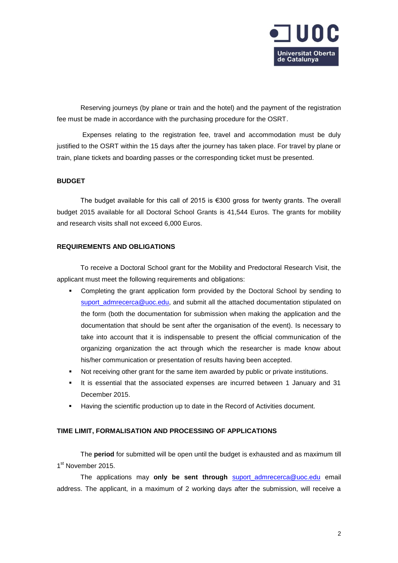

Reserving journeys (by plane or train and the hotel) and the payment of the registration fee must be made in accordance with the purchasing procedure for the OSRT.

Expenses relating to the registration fee, travel and accommodation must be duly justified to the OSRT within the 15 days after the journey has taken place. For travel by plane or train, plane tickets and boarding passes or the corresponding ticket must be presented.

## **BUDGET**

The budget available for this call of 2015 is  $\epsilon$ 300 gross for twenty grants. The overall budget 2015 available for all Doctoral School Grants is 41,544 Euros. The grants for mobility and research visits shall not exceed 6,000 Euros.

# **REQUIREMENTS AND OBLIGATIONS**

To receive a Doctoral School grant for the Mobility and Predoctoral Research Visit, the applicant must meet the following requirements and obligations:

- Completing the grant application form provided by the Doctoral School by sending to [suport\\_admrecerca@uoc.edu,](mailto:suport_admrecerca@uoc.edu) and submit all the attached documentation stipulated on the form (both the documentation for submission when making the application and the documentation that should be sent after the organisation of the event). Is necessary to take into account that it is indispensable to present the official communication of the organizing organization the act through which the researcher is made know about his/her communication or presentation of results having been accepted.
- Not receiving other grant for the same item awarded by public or private institutions.
- It is essential that the associated expenses are incurred between 1 January and 31 December 2015.
- Having the scientific production up to date in the Record of Activities document.

# **TIME LIMIT, FORMALISATION AND PROCESSING OF APPLICATIONS**

The **period** for submitted will be open until the budget is exhausted and as maximum till 1<sup>st</sup> November 2015.

The applications may **only be sent through** [suport\\_admrecerca@uoc.edu](mailto:suport_admrecerca@uoc.edu) email address. The applicant, in a maximum of 2 working days after the submission, will receive a